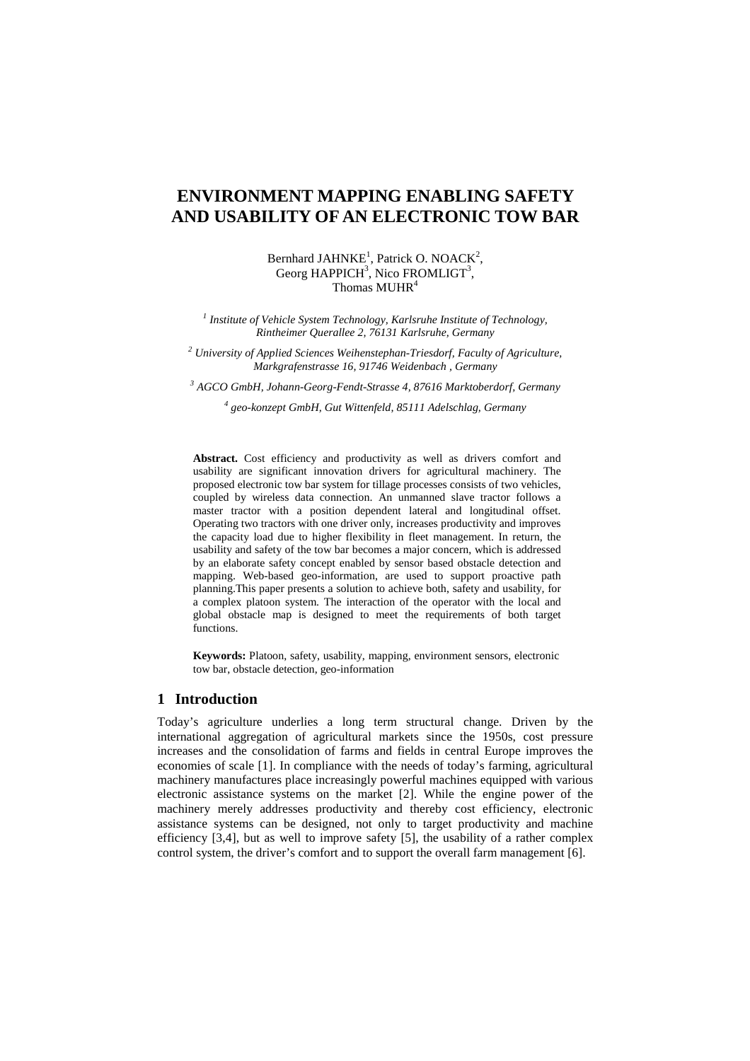# **ENVIRONMENT MAPPING ENABLING SAFETY AND USABILITY OF AN ELECTRONIC TOW BAR**

Bernhard JAHN $KE<sup>1</sup>$ , Patrick O. NOAC $K<sup>2</sup>$ , Georg HAPPICH<sup>3</sup>, Nico FROMLIGT<sup>3</sup>, Thomas MUHR<sup>4</sup>

<sup>1</sup> Institute of Vehicle System Technology, Karlsruhe Institute of Technology, *Rintheimer Querallee 2, 76131 Karlsruhe, Germany* 

*2 University of Applied Sciences Weihenstephan-Triesdorf, Faculty of Agriculture, Markgrafenstrasse 16, 91746 Weidenbach , Germany* 

*3 AGCO GmbH, Johann-Georg-Fendt-Strasse 4, 87616 Marktoberdorf, Germany* 

*4 geo-konzept GmbH, Gut Wittenfeld, 85111 Adelschlag, Germany* 

Abstract. Cost efficiency and productivity as well as drivers comfort and usability are significant innovation drivers for agricultural machinery. The proposed electronic tow bar system for tillage processes consists of two vehicles, coupled by wireless data connection. An unmanned slave tractor follows a master tractor with a position dependent lateral and longitudinal offset. Operating two tractors with one driver only, increases productivity and improves the capacity load due to higher flexibility in fleet management. In return, the usability and safety of the tow bar becomes a major concern, which is addressed by an elaborate safety concept enabled by sensor based obstacle detection and mapping. Web-based geo-information, are used to support proactive path planning.This paper presents a solution to achieve both, safety and usability, for a complex platoon system. The interaction of the operator with the local and global obstacle map is designed to meet the requirements of both target functions.

**Keywords:** Platoon, safety, usability, mapping, environment sensors, electronic tow bar, obstacle detection, geo-information

## **1 Introduction**

Today's agriculture underlies a long term structural change. Driven by the international aggregation of agricultural markets since the 1950s, cost pressure increases and the consolidation of farms and fields in central Europe improves the economies of scale [1]. In compliance with the needs of today's farming, agricultural machinery manufactures place increasingly powerful machines equipped with various electronic assistance systems on the market [2]. While the engine power of the machinery merely addresses productivity and thereby cost efficiency, electronic assistance systems can be designed, not only to target productivity and machine efficiency [3,4], but as well to improve safety [5], the usability of a rather complex control system, the driver's comfort and to support the overall farm management [6].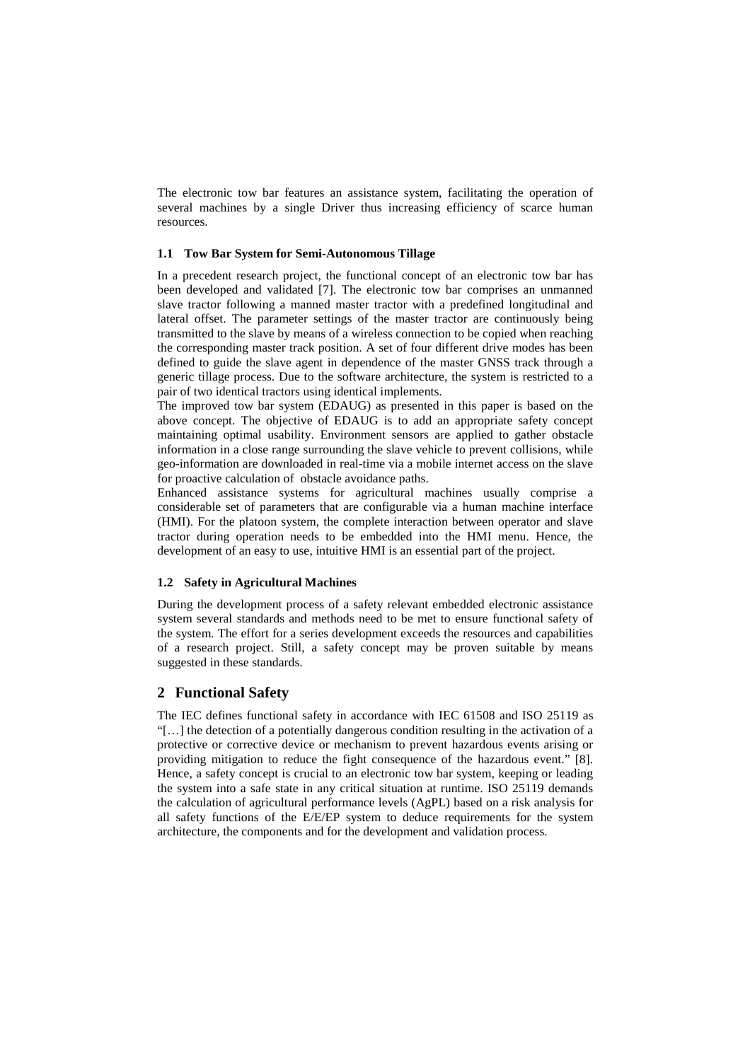The electronic tow bar features an assistance system, facilitating the operation of several machines by a single Driver thus increasing efficiency of scarce human resources.

#### **1.1 Tow Bar System for Semi-Autonomous Tillage**

In a precedent research project, the functional concept of an electronic tow bar has been developed and validated [7]. The electronic tow bar comprises an unmanned slave tractor following a manned master tractor with a predefined longitudinal and lateral offset. The parameter settings of the master tractor are continuously being transmitted to the slave by means of a wireless connection to be copied when reaching the corresponding master track position. A set of four different drive modes has been defined to guide the slave agent in dependence of the master GNSS track through a generic tillage process. Due to the software architecture, the system is restricted to a pair of two identical tractors using identical implements.

The improved tow bar system (EDAUG) as presented in this paper is based on the above concept. The objective of EDAUG is to add an appropriate safety concept maintaining optimal usability. Environment sensors are applied to gather obstacle information in a close range surrounding the slave vehicle to prevent collisions, while geo-information are downloaded in real-time via a mobile internet access on the slave for proactive calculation of obstacle avoidance paths.

Enhanced assistance systems for agricultural machines usually comprise a considerable set of parameters that are configurable via a human machine interface (HMI). For the platoon system, the complete interaction between operator and slave tractor during operation needs to be embedded into the HMI menu. Hence, the development of an easy to use, intuitive HMI is an essential part of the project.

### **1.2 Safety in Agricultural Machines**

During the development process of a safety relevant embedded electronic assistance system several standards and methods need to be met to ensure functional safety of the system. The effort for a series development exceeds the resources and capabilities of a research project. Still, a safety concept may be proven suitable by means suggested in these standards.

## **2 Functional Safety**

The IEC defines functional safety in accordance with IEC 61508 and ISO 25119 as "[…] the detection of a potentially dangerous condition resulting in the activation of a protective or corrective device or mechanism to prevent hazardous events arising or providing mitigation to reduce the fight consequence of the hazardous event." [8]. Hence, a safety concept is crucial to an electronic tow bar system, keeping or leading the system into a safe state in any critical situation at runtime. ISO 25119 demands the calculation of agricultural performance levels (AgPL) based on a risk analysis for all safety functions of the E/E/EP system to deduce requirements for the system architecture, the components and for the development and validation process.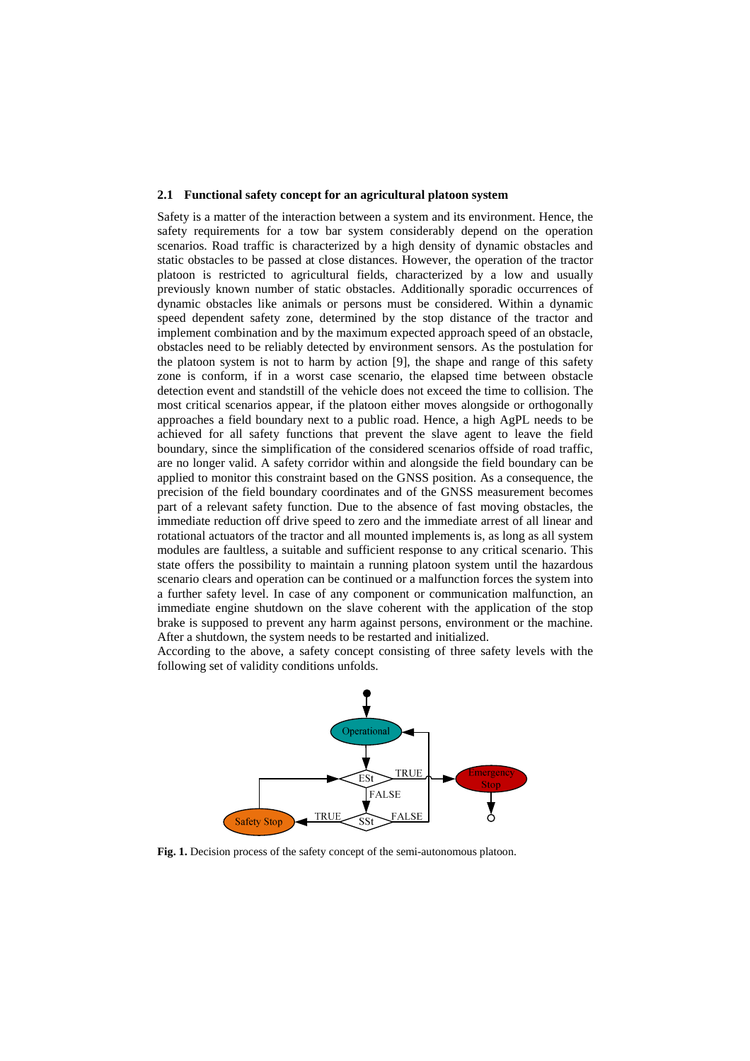#### **2.1 Functional safety concept for an agricultural platoon system**

Safety is a matter of the interaction between a system and its environment. Hence, the safety requirements for a tow bar system considerably depend on the operation scenarios. Road traffic is characterized by a high density of dynamic obstacles and static obstacles to be passed at close distances. However, the operation of the tractor platoon is restricted to agricultural fields, characterized by a low and usually previously known number of static obstacles. Additionally sporadic occurrences of dynamic obstacles like animals or persons must be considered. Within a dynamic speed dependent safety zone, determined by the stop distance of the tractor and implement combination and by the maximum expected approach speed of an obstacle, obstacles need to be reliably detected by environment sensors. As the postulation for the platoon system is not to harm by action [9], the shape and range of this safety zone is conform, if in a worst case scenario, the elapsed time between obstacle detection event and standstill of the vehicle does not exceed the time to collision. The most critical scenarios appear, if the platoon either moves alongside or orthogonally approaches a field boundary next to a public road. Hence, a high AgPL needs to be achieved for all safety functions that prevent the slave agent to leave the field boundary, since the simplification of the considered scenarios offside of road traffic, are no longer valid. A safety corridor within and alongside the field boundary can be applied to monitor this constraint based on the GNSS position. As a consequence, the precision of the field boundary coordinates and of the GNSS measurement becomes part of a relevant safety function. Due to the absence of fast moving obstacles, the immediate reduction off drive speed to zero and the immediate arrest of all linear and rotational actuators of the tractor and all mounted implements is, as long as all system modules are faultless, a suitable and sufficient response to any critical scenario. This state offers the possibility to maintain a running platoon system until the hazardous scenario clears and operation can be continued or a malfunction forces the system into a further safety level. In case of any component or communication malfunction, an immediate engine shutdown on the slave coherent with the application of the stop brake is supposed to prevent any harm against persons, environment or the machine. After a shutdown, the system needs to be restarted and initialized.

According to the above, a safety concept consisting of three safety levels with the following set of validity conditions unfolds.



**Fig. 1.** Decision process of the safety concept of the semi-autonomous platoon.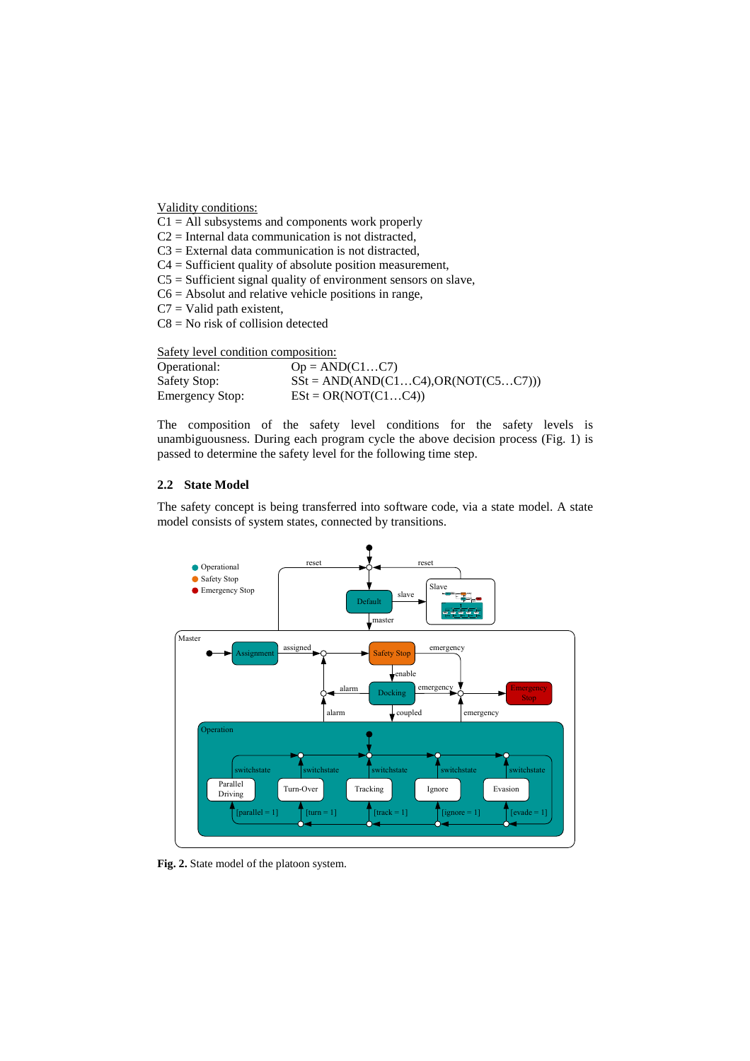Validity conditions:

 $C1 = All$  subsystems and components work properly

 $C2$  = Internal data communication is not distracted,

 $C3 =$  External data communication is not distracted,

C4 = Sufficient quality of absolute position measurement,

 $C5$  = Sufficient signal quality of environment sensors on slave,

 $C6 =$  Absolut and relative vehicle positions in range,

 $C7 =$  Valid path existent,

C8 = No risk of collision detected

Safety level condition composition:

| Operational:           | $Op = AND(C1C7)$                           |
|------------------------|--------------------------------------------|
| Safety Stop:           | $SSt = AND(AND(C1C4), OR(NOT(C5C7)))$      |
| <b>Emergency Stop:</b> | $\text{ES}t = \text{OR}(\text{NOT}(C1C4))$ |

The composition of the safety level conditions for the safety levels is unambiguousness. During each program cycle the above decision process (Fig. 1) is passed to determine the safety level for the following time step.

#### **2.2 State Model**

The safety concept is being transferred into software code, via a state model. A state model consists of system states, connected by transitions.



**Fig. 2.** State model of the platoon system.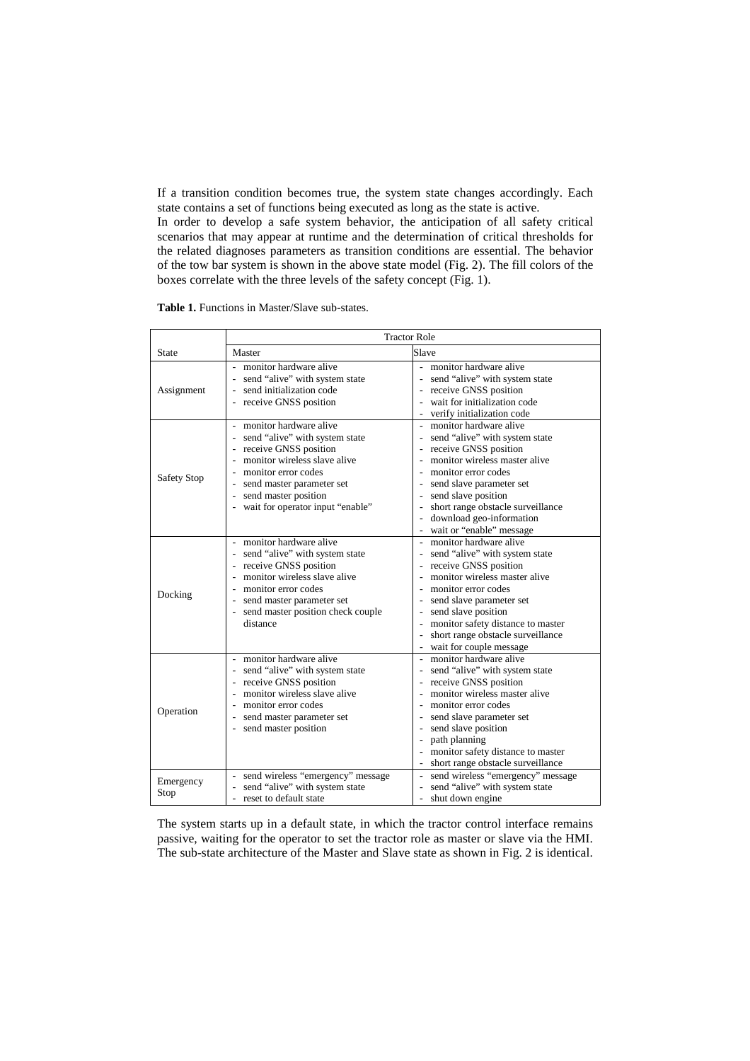If a transition condition becomes true, the system state changes accordingly. Each state contains a set of functions being executed as long as the state is active. In order to develop a safe system behavior, the anticipation of all safety critical scenarios that may appear at runtime and the determination of critical thresholds for the related diagnoses parameters as transition conditions are essential. The behavior of the tow bar system is shown in the above state model (Fig. 2). The fill colors of the boxes correlate with the three levels of the safety concept (Fig. 1).

**Table 1.** Functions in Master/Slave sub-states.

|                   | <b>Tractor Role</b>                                                                                                                                                                                                                 |                                                                                                                                                                                                                                                                                                               |  |  |
|-------------------|-------------------------------------------------------------------------------------------------------------------------------------------------------------------------------------------------------------------------------------|---------------------------------------------------------------------------------------------------------------------------------------------------------------------------------------------------------------------------------------------------------------------------------------------------------------|--|--|
| State             | Master                                                                                                                                                                                                                              | Slave                                                                                                                                                                                                                                                                                                         |  |  |
| Assignment        | monitor hardware alive<br>$\sim$<br>send "alive" with system state<br>send initialization code<br>receive GNSS position                                                                                                             | monitor hardware alive<br>$\sim$<br>send "alive" with system state<br>receive GNSS position<br>wait for initialization code<br>verify initialization code<br>$\overline{\phantom{0}}$                                                                                                                         |  |  |
| Safety Stop       | monitor hardware alive<br>send "alive" with system state<br>- receive GNSS position<br>monitor wireless slave alive<br>monitor error codes<br>send master parameter set<br>send master position<br>wait for operator input "enable" | monitor hardware alive<br>$\sim$<br>send "alive" with system state<br>receive GNSS position<br>monitor wireless master alive<br>monitor error codes<br>send slave parameter set<br>send slave position<br>short range obstacle surveillance<br>download geo-information<br>wait or "enable" message<br>$\sim$ |  |  |
| Docking           | monitor hardware alive<br>$\sim$<br>send "alive" with system state<br>receive GNSS position<br>monitor wireless slave alive<br>monitor error codes<br>send master parameter set<br>send master position check couple<br>distance    | monitor hardware alive<br>$\sim$<br>send "alive" with system state<br>receive GNSS position<br>monitor wireless master alive<br>monitor error codes<br>send slave parameter set<br>send slave position<br>monitor safety distance to master<br>short range obstacle surveillance<br>wait for couple message   |  |  |
| Operation         | - monitor hardware alive<br>send "alive" with system state<br>receive GNSS position<br>monitor wireless slave alive<br>monitor error codes<br>send master parameter set<br>send master position                                     | monitor hardware alive<br>send "alive" with system state<br>receive GNSS position<br>monitor wireless master alive<br>monitor error codes<br>send slave parameter set<br>send slave position<br>path planning<br>monitor safety distance to master<br>short range obstacle surveillance<br>$\sim$             |  |  |
| Emergency<br>Stop | send wireless "emergency" message<br>send "alive" with system state<br>reset to default state                                                                                                                                       | send wireless "emergency" message<br>send "alive" with system state<br>shut down engine                                                                                                                                                                                                                       |  |  |

The system starts up in a default state, in which the tractor control interface remains passive, waiting for the operator to set the tractor role as master or slave via the HMI. The sub-state architecture of the Master and Slave state as shown in Fig. 2 is identical.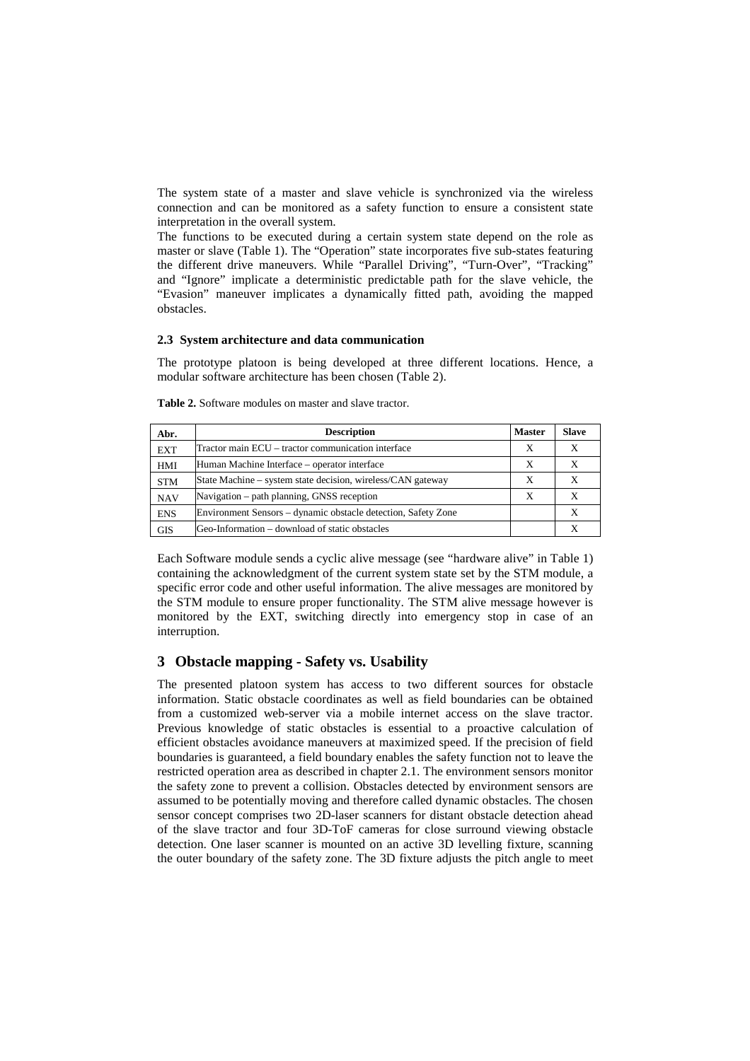The system state of a master and slave vehicle is synchronized via the wireless connection and can be monitored as a safety function to ensure a consistent state interpretation in the overall system.

The functions to be executed during a certain system state depend on the role as master or slave (Table 1). The "Operation" state incorporates five sub-states featuring the different drive maneuvers. While "Parallel Driving", "Turn-Over", "Tracking" and "Ignore" implicate a deterministic predictable path for the slave vehicle, the "Evasion" maneuver implicates a dynamically fitted path, avoiding the mapped obstacles.

#### **2.3 System architecture and data communication**

The prototype platoon is being developed at three different locations. Hence, a modular software architecture has been chosen (Table 2).

| <b>Table 2.</b> Software modules on master and slave tractor. |
|---------------------------------------------------------------|
|                                                               |

| Abr.       | <b>Description</b>                                            | <b>Master</b> | <b>Slave</b> |
|------------|---------------------------------------------------------------|---------------|--------------|
| <b>EXT</b> | Tractor main ECU – tractor communication interface            | X             | X            |
| HMI        | Human Machine Interface – operator interface                  |               | Х            |
| <b>STM</b> | State Machine – system state decision, wireless/CAN gateway   | X             | X            |
| <b>NAV</b> | Navigation – path planning, GNSS reception                    | X             | X            |
| <b>ENS</b> | Environment Sensors – dynamic obstacle detection, Safety Zone |               |              |
| GIS        | Geo-Information – download of static obstacles                |               |              |

Each Software module sends a cyclic alive message (see "hardware alive" in Table 1) containing the acknowledgment of the current system state set by the STM module, a specific error code and other useful information. The alive messages are monitored by the STM module to ensure proper functionality. The STM alive message however is monitored by the EXT, switching directly into emergency stop in case of an interruption.

## **3 Obstacle mapping - Safety vs. Usability**

The presented platoon system has access to two different sources for obstacle information. Static obstacle coordinates as well as field boundaries can be obtained from a customized web-server via a mobile internet access on the slave tractor. Previous knowledge of static obstacles is essential to a proactive calculation of efficient obstacles avoidance maneuvers at maximized speed. If the precision of field boundaries is guaranteed, a field boundary enables the safety function not to leave the restricted operation area as described in chapter 2.1. The environment sensors monitor the safety zone to prevent a collision. Obstacles detected by environment sensors are assumed to be potentially moving and therefore called dynamic obstacles. The chosen sensor concept comprises two 2D-laser scanners for distant obstacle detection ahead of the slave tractor and four 3D-ToF cameras for close surround viewing obstacle detection. One laser scanner is mounted on an active 3D levelling fixture, scanning the outer boundary of the safety zone. The 3D fixture adjusts the pitch angle to meet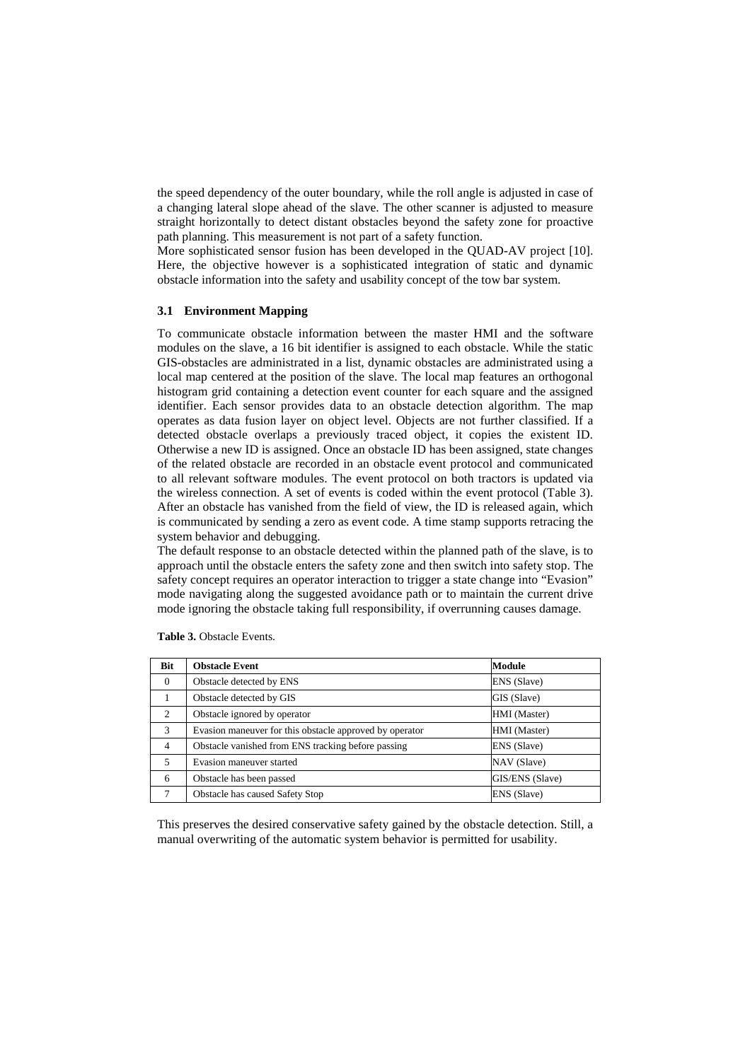the speed dependency of the outer boundary, while the roll angle is adjusted in case of a changing lateral slope ahead of the slave. The other scanner is adjusted to measure straight horizontally to detect distant obstacles beyond the safety zone for proactive path planning. This measurement is not part of a safety function.

More sophisticated sensor fusion has been developed in the QUAD-AV project [10]. Here, the objective however is a sophisticated integration of static and dynamic obstacle information into the safety and usability concept of the tow bar system.

## **3.1 Environment Mapping**

To communicate obstacle information between the master HMI and the software modules on the slave, a 16 bit identifier is assigned to each obstacle. While the static GIS-obstacles are administrated in a list, dynamic obstacles are administrated using a local map centered at the position of the slave. The local map features an orthogonal histogram grid containing a detection event counter for each square and the assigned identifier. Each sensor provides data to an obstacle detection algorithm. The map operates as data fusion layer on object level. Objects are not further classified. If a detected obstacle overlaps a previously traced object, it copies the existent ID. Otherwise a new ID is assigned. Once an obstacle ID has been assigned, state changes of the related obstacle are recorded in an obstacle event protocol and communicated to all relevant software modules. The event protocol on both tractors is updated via the wireless connection. A set of events is coded within the event protocol (Table 3). After an obstacle has vanished from the field of view, the ID is released again, which is communicated by sending a zero as event code. A time stamp supports retracing the system behavior and debugging.

The default response to an obstacle detected within the planned path of the slave, is to approach until the obstacle enters the safety zone and then switch into safety stop. The safety concept requires an operator interaction to trigger a state change into "Evasion" mode navigating along the suggested avoidance path or to maintain the current drive mode ignoring the obstacle taking full responsibility, if overrunning causes damage.

| <b>Bit</b>     | <b>Obstacle Event</b>                                   | <b>Module</b>   |
|----------------|---------------------------------------------------------|-----------------|
| $\theta$       | Obstacle detected by ENS                                | ENS (Slave)     |
|                | Obstacle detected by GIS                                | GIS (Slave)     |
| 2              | Obstacle ignored by operator                            | HMI (Master)    |
| 3              | Evasion maneuver for this obstacle approved by operator | HMI (Master)    |
| $\overline{4}$ | Obstacle vanished from ENS tracking before passing      | ENS (Slave)     |
| 5              | Evasion maneuver started                                | NAV (Slave)     |
| 6              | Obstacle has been passed                                | GIS/ENS (Slave) |
| 7              | Obstacle has caused Safety Stop                         | ENS (Slave)     |

**Table 3.** Obstacle Events.

This preserves the desired conservative safety gained by the obstacle detection. Still, a manual overwriting of the automatic system behavior is permitted for usability.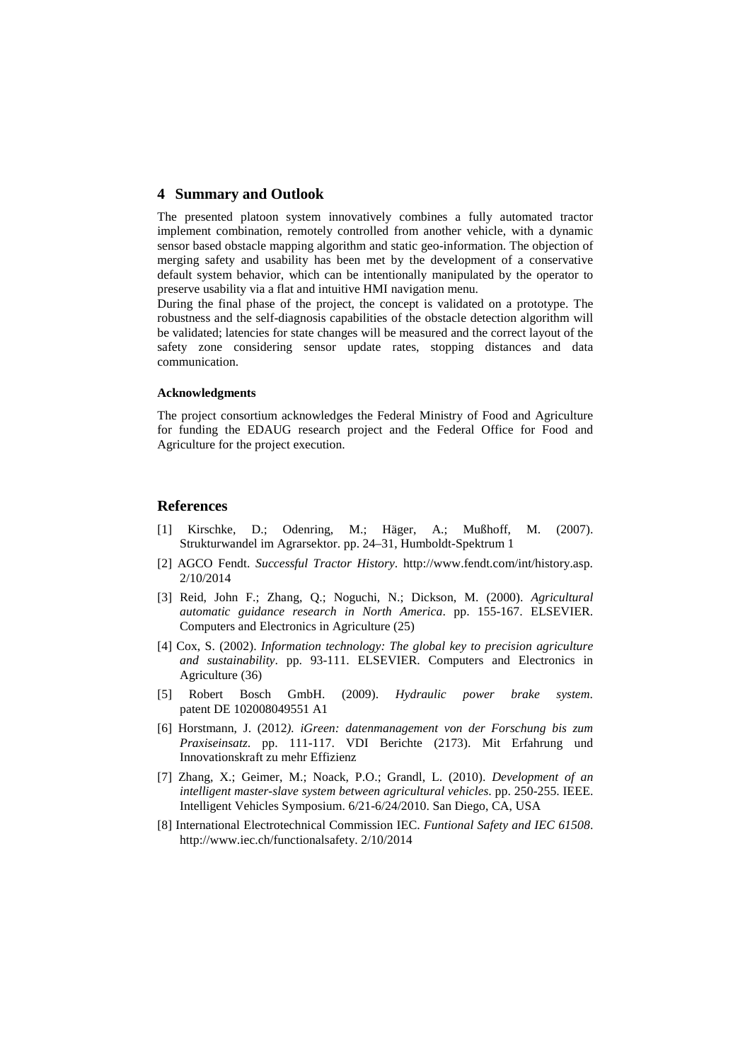#### **4 Summary and Outlook**

The presented platoon system innovatively combines a fully automated tractor implement combination, remotely controlled from another vehicle, with a dynamic sensor based obstacle mapping algorithm and static geo-information. The objection of merging safety and usability has been met by the development of a conservative default system behavior, which can be intentionally manipulated by the operator to preserve usability via a flat and intuitive HMI navigation menu.

During the final phase of the project, the concept is validated on a prototype. The robustness and the self-diagnosis capabilities of the obstacle detection algorithm will be validated; latencies for state changes will be measured and the correct layout of the safety zone considering sensor update rates, stopping distances and data communication.

#### **Acknowledgments**

The project consortium acknowledges the Federal Ministry of Food and Agriculture for funding the EDAUG research project and the Federal Office for Food and Agriculture for the project execution.

### **References**

- [1] Kirschke, D.; Odenring, M.; Häger, A.; Mußhoff, M. (2007). Strukturwandel im Agrarsektor. pp. 24–31, Humboldt-Spektrum 1
- [2] AGCO Fendt. *Successful Tractor History*. http://www.fendt.com/int/history.asp. 2/10/2014
- [3] Reid, John F.; Zhang, Q.; Noguchi, N.; Dickson, M. (2000). *Agricultural automatic guidance research in North America*. pp. 155-167. ELSEVIER. Computers and Electronics in Agriculture (25)
- [4] Cox, S. (2002). *Information technology: The global key to precision agriculture and sustainability*. pp. 93-111. ELSEVIER. Computers and Electronics in Agriculture (36)
- [5] Robert Bosch GmbH. (2009). *Hydraulic power brake system*. patent DE 102008049551 A1
- [6] Horstmann, J. (2012*). iGreen: datenmanagement von der Forschung bis zum Praxiseinsatz*. pp. 111-117. VDI Berichte (2173). Mit Erfahrung und Innovationskraft zu mehr Effizienz
- [7] Zhang, X.; Geimer, M.; Noack, P.O.; Grandl, L. (2010). *Development of an intelligent master-slave system between agricultural vehicles*. pp. 250-255. IEEE. Intelligent Vehicles Symposium. 6/21-6/24/2010. San Diego, CA, USA
- [8] International Electrotechnical Commission IEC. *Funtional Safety and IEC 61508*. http://www.iec.ch/functionalsafety. 2/10/2014